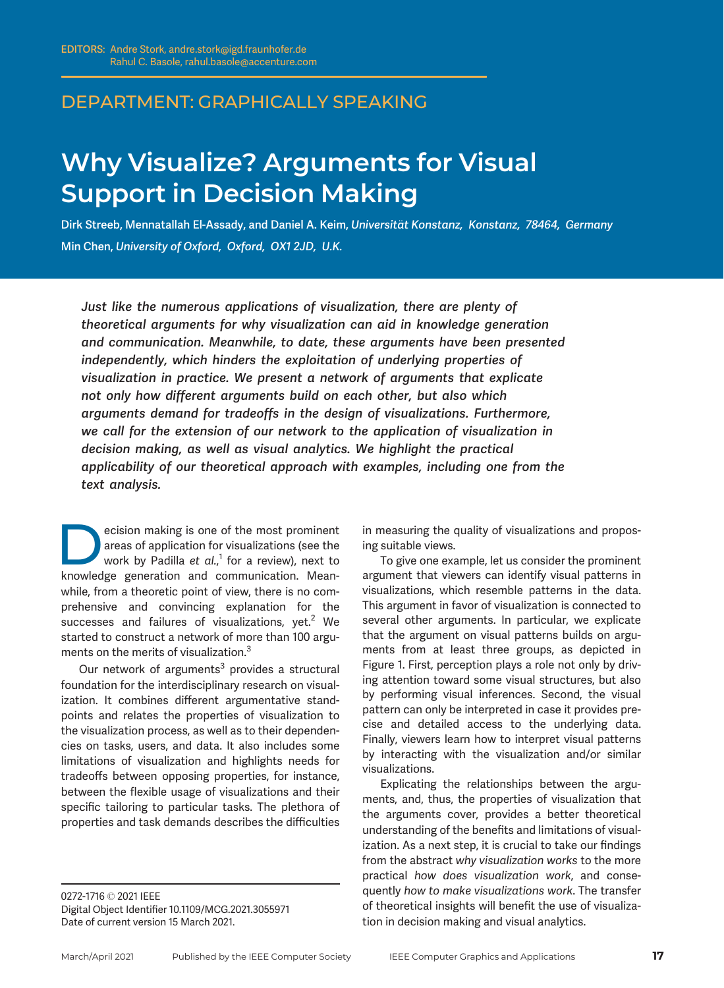## DEPARTMENT: GRAPHICALLY SPEAKING

# Why Visualize? Arguments for Visual<br>Support in Decision Making

USI DECISION DECISION OF DECISION OF THE COLLECT OF THE COLLECT OF THE COLLECT OF THE COLLECT OF THE COLLECT O<br>Dirk Streeb, Mennatallah El-Assady, and Daniel A. Keim, Universität Konstanz, Konstanz, *78464, Germany* Min Chen, University of Oxford, Oxford, OX1 2JD, U.K.

Just like the numerous applications of visualization, there are plenty of theoretical arguments for why visualization can aid in knowledge generation and communication. Meanwhile, to date, these arguments have been presented independently, which hinders the exploitation of underlying properties of visualization in practice. We present a network of arguments that explicate not only how different arguments build on each other, but also which arguments demand for tradeoffs in the design of visualizations. Furthermore, we call for the extension of our network to the application of visualization in decision making, as well as visual analytics. We highlight the practical applicability of our theoretical approach with examples, including one from the text analysis.

ecision making is one of the most prominent<br>areas of application for visualizations (see the<br>work by Padilla *et al.*,<sup>1</sup> for a review), next to<br>knowledge generation and communication Meanareas of application for visualizations (see the work by Padilla *et al.,*<sup>1</sup> for a review), next to knowledge generation and communication. Meanwhile, from a theoretic point of view, there is no comprehensive and convincing explanation for the successes and failures of visualizations,  $yet<sup>2</sup>$  We started to construct a network of more than 100 arguments on the merits of visualization.<sup>3</sup>

Our network of arguments $3$  provides a structural foundation for the interdisciplinary research on visualization. It combines different argumentative standpoints and relates the properties of visualization to the visualization process, as well as to their dependencies on tasks, users, and data. It also includes some limitations of visualization and highlights needs for tradeoffs between opposing properties, for instance, between the flexible usage of visualizations and their specific tailoring to particular tasks. The plethora of properties and task demands describes the difficulties

0272-1716 © 2021 IEEE Digital Object Identifier 10.1109/MCG.2021.3055971 Date of current version 15 March 2021.

in measuring the quality of visualizations and proposing suitable views.

To give one example, let us consider the prominent argument that viewers can identify visual patterns in visualizations, which resemble patterns in the data. This argument in favor of visualization is connected to several other arguments. In particular, we explicate that the argument on visual patterns builds on arguments from at least three groups, as depicted in Figure 1. First, perception plays a role not only by driving attention toward some visual structures, but also by performing visual inferences. Second, the visual pattern can only be interpreted in case it provides precise and detailed access to the underlying data. Finally, viewers learn how to interpret visual patterns by interacting with the visualization and/or similar visualizations.

Explicating the relationships between the arguments, and, thus, the properties of visualization that the arguments cover, provides a better theoretical understanding of the benefits and limitations of visualization. As a next step, it is crucial to take our findings from the abstract why visualization works to the more practical how does visualization work, and consequently how to make visualizations work. The transfer of theoretical insights will benefit the use of visualization in decision making and visual analytics.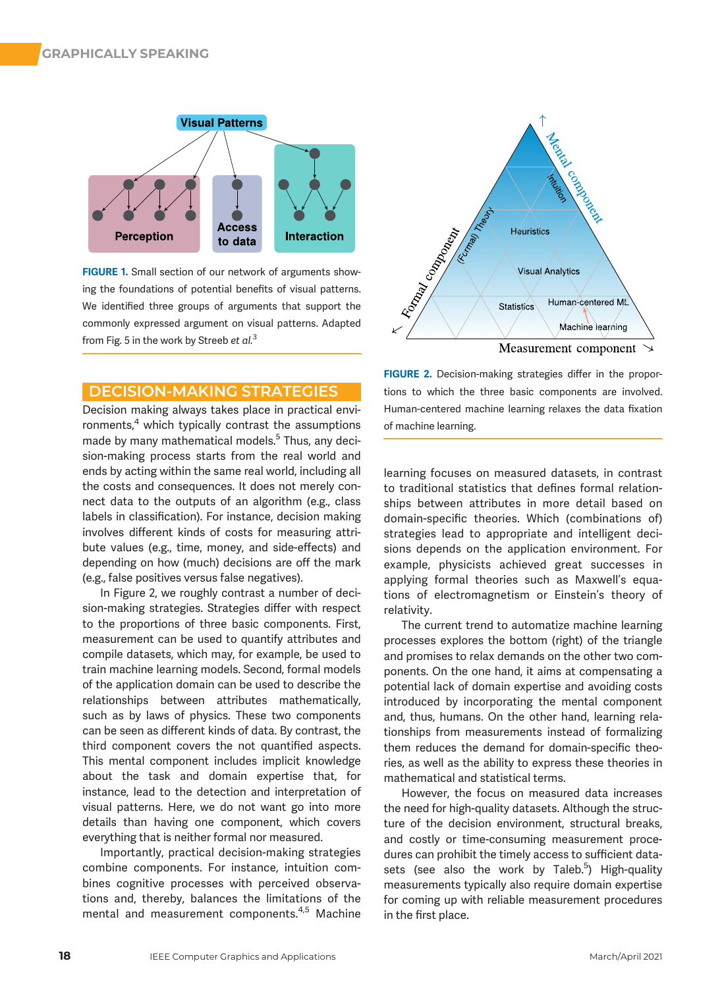

FIGURE 1. Small section of our network of arguments showing the foundations of potential benefits of visual patterns. We identified three groups of arguments that support the commonly expressed argument on visual patterns. Adapted from Fig. 5 in the work by Streeb et al.<sup>3</sup>

Decision making always takes place in practical environments,<sup>4</sup> which typically contrast the assumptions made by many mathematical models.<sup>5</sup> Thus, any decision-making process starts from the real world and ends by acting within the same real world, including all the costs and consequences. It does not merely connect data to the outputs of an algorithm (e.g., class labels in classification). For instance, decision making involves different kinds of costs for measuring attribute values (e.g., time, money, and side-effects) and depending on how (much) decisions are off the mark (e.g., false positives versus false negatives).

In Figure 2, we roughly contrast a number of decision-making strategies. Strategies differ with respect to the proportions of three basic components. First, measurement can be used to quantify attributes and compile datasets, which may, for example, be used to train machine learning models. Second, formal models of the application domain can be used to describe the relationships between attributes mathematically, such as by laws of physics. These two components can be seen as different kinds of data. By contrast, the third component covers the not quantified aspects. This mental component includes implicit knowledge about the task and domain expertise that, for instance, lead to the detection and interpretation of visual patterns. Here, we do not want go into more details than having one component, which covers everything that is neither formal nor measured.

Importantly, practical decision-making strategies combine components. For instance, intuition combines cognitive processes with perceived observations and, thereby, balances the limitations of the mental and measurement components.4,5 Machine



FIGURE 2. Decision-making strategies differ in the proportions to which the three basic components are involved. Human-centered machine learning relaxes the data fixation of machine learning.

learning focuses on measured datasets, in contrast to traditional statistics that defines formal relationships between attributes in more detail based on domain-specific theories. Which (combinations of) strategies lead to appropriate and intelligent decisions depends on the application environment. For example, physicists achieved great successes in applying formal theories such as Maxwell's equations of electromagnetism or Einstein's theory of relativity.

The current trend to automatize machine learning processes explores the bottom (right) of the triangle and promises to relax demands on the other two components. On the one hand, it aims at compensating a potential lack of domain expertise and avoiding costs introduced by incorporating the mental component and, thus, humans. On the other hand, learning relationships from measurements instead of formalizing them reduces the demand for domain-specific theories, as well as the ability to express these theories in mathematical and statistical terms.

However, the focus on measured data increases the need for high-quality datasets. Although the structure of the decision environment, structural breaks, and costly or time-consuming measurement procedures can prohibit the timely access to sufficient datasets (see also the work by Taleb.<sup>5</sup>) High-quality measurements typically also require domain expertise for coming up with reliable measurement procedures in the first place.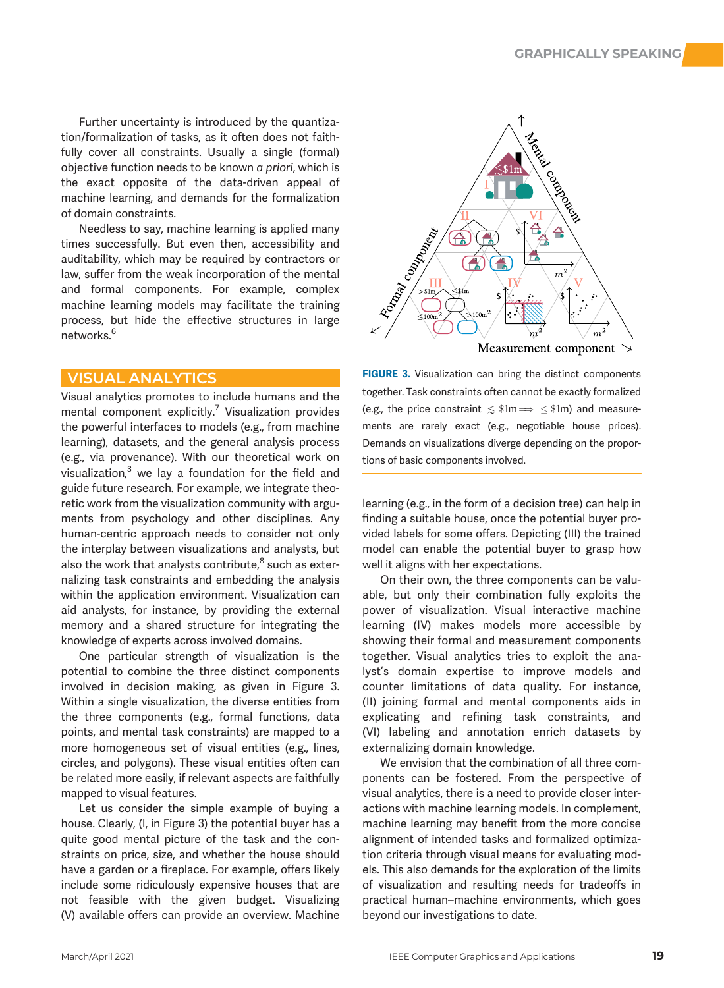Further uncertainty is introduced by the quantization/formalization of tasks, as it often does not faithfully cover all constraints. Usually a single (formal) objective function needs to be known a priori, which is the exact opposite of the data-driven appeal of machine learning, and demands for the formalization of domain constraints.

Needless to say, machine learning is applied many times successfully. But even then, accessibility and auditability, which may be required by contractors or law, suffer from the weak incorporation of the mental and formal components. For example, complex machine learning models may facilitate the training process, but hide the effective structures in large networks.<sup>6</sup>

### **VISUAL ANALYTICS**

Visual analytics promotes to include humans and the mental component explicitly.<sup>7</sup> Visualization provides the powerful interfaces to models (e.g., from machine learning), datasets, and the general analysis process (e.g., via provenance). With our theoretical work on visualization, $3$  we lay a foundation for the field and guide future research. For example, we integrate theoretic work from the visualization community with arguments from psychology and other disciplines. Any human-centric approach needs to consider not only the interplay between visualizations and analysts, but also the work that analysts contribute, $8$  such as externalizing task constraints and embedding the analysis within the application environment. Visualization can aid analysts, for instance, by providing the external memory and a shared structure for integrating the knowledge of experts across involved domains.

One particular strength of visualization is the potential to combine the three distinct components involved in decision making, as given in Figure 3. Within a single visualization, the diverse entities from the three components (e.g., formal functions, data points, and mental task constraints) are mapped to a more homogeneous set of visual entities (e.g., lines, circles, and polygons). These visual entities often can be related more easily, if relevant aspects are faithfully mapped to visual features.

Let us consider the simple example of buying a house. Clearly, (I, in Figure 3) the potential buyer has a quite good mental picture of the task and the constraints on price, size, and whether the house should have a garden or a fireplace. For example, offers likely include some ridiculously expensive houses that are not feasible with the given budget. Visualizing (V) available offers can provide an overview. Machine



FIGURE 3. Visualization can bring the distinct components together. Task constraints often cannot be exactly formalized (e.g., the price constraint  $\leq \text{\$1m} \Longrightarrow \leq \text{\$1m}$ ) and measurements are rarely exact (e.g., negotiable house prices). Demands on visualizations diverge depending on the proportions of basic components involved.

learning (e.g., in the form of a decision tree) can help in finding a suitable house, once the potential buyer provided labels for some offers. Depicting (III) the trained model can enable the potential buyer to grasp how well it aligns with her expectations.

On their own, the three components can be valuable, but only their combination fully exploits the power of visualization. Visual interactive machine learning (IV) makes models more accessible by showing their formal and measurement components together. Visual analytics tries to exploit the analyst's domain expertise to improve models and counter limitations of data quality. For instance, (II) joining formal and mental components aids in explicating and refining task constraints, and (VI) labeling and annotation enrich datasets by externalizing domain knowledge.

We envision that the combination of all three components can be fostered. From the perspective of visual analytics, there is a need to provide closer interactions with machine learning models. In complement, machine learning may benefit from the more concise alignment of intended tasks and formalized optimization criteria through visual means for evaluating models. This also demands for the exploration of the limits of visualization and resulting needs for tradeoffs in practical human–machine environments, which goes beyond our investigations to date.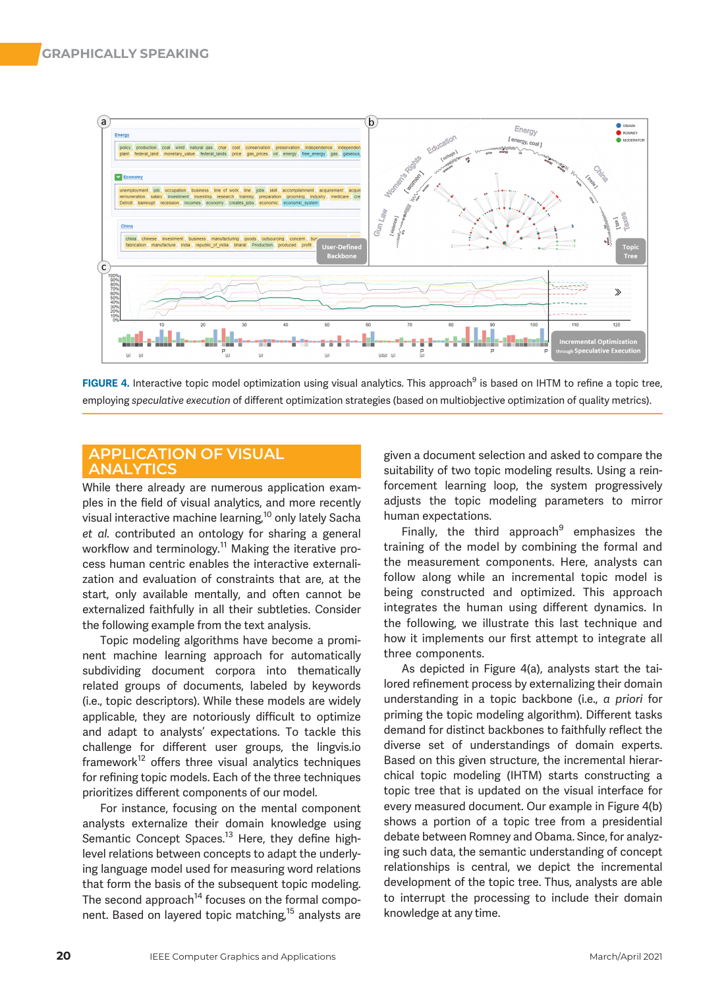

FIGURE 4. Interactive topic model optimization using visual analytics. This approach<sup>9</sup> is based on IHTM to refine a topic tree, employing speculative execution of different optimization strategies (based on multiobjective optimization of quality metrics).

# APPLICATION OF VISUAL

While there already are numerous application examples in the field of visual analytics, and more recently visual interactive machine learning,<sup>10</sup> only lately Sacha et al. contributed an ontology for sharing a general workflow and terminology.<sup>11</sup> Making the iterative process human centric enables the interactive externalization and evaluation of constraints that are, at the start, only available mentally, and often cannot be externalized faithfully in all their subtleties. Consider the following example from the text analysis.

Topic modeling algorithms have become a prominent machine learning approach for automatically subdividing document corpora into thematically related groups of documents, labeled by keywords (i.e., topic descriptors). While these models are widely applicable, they are notoriously difficult to optimize and adapt to analysts' expectations. To tackle this challenge for different user groups, the lingvis.io  $framework<sup>12</sup>$  offers three visual analytics techniques for refining topic models. Each of the three techniques prioritizes different components of our model.

For instance, focusing on the mental component analysts externalize their domain knowledge using Semantic Concept Spaces.<sup>13</sup> Here, they define highlevel relations between concepts to adapt the underlying language model used for measuring word relations that form the basis of the subsequent topic modeling. The second approach<sup>14</sup> focuses on the formal component. Based on layered topic matching,<sup>15</sup> analysts are given a document selection and asked to compare the suitability of two topic modeling results. Using a reinforcement learning loop, the system progressively adjusts the topic modeling parameters to mirror human expectations.

Finally, the third approach $9$  emphasizes the training of the model by combining the formal and the measurement components. Here, analysts can follow along while an incremental topic model is being constructed and optimized. This approach integrates the human using different dynamics. In the following, we illustrate this last technique and how it implements our first attempt to integrate all three components.

As depicted in Figure 4(a), analysts start the tailored refinement process by externalizing their domain understanding in a topic backbone (i.e., a priori for priming the topic modeling algorithm). Different tasks demand for distinct backbones to faithfully reflect the diverse set of understandings of domain experts. Based on this given structure, the incremental hierarchical topic modeling (IHTM) starts constructing a topic tree that is updated on the visual interface for every measured document. Our example in Figure 4(b) shows a portion of a topic tree from a presidential debate between Romney and Obama. Since, for analyzing such data, the semantic understanding of concept relationships is central, we depict the incremental development of the topic tree. Thus, analysts are able to interrupt the processing to include their domain knowledge at any time.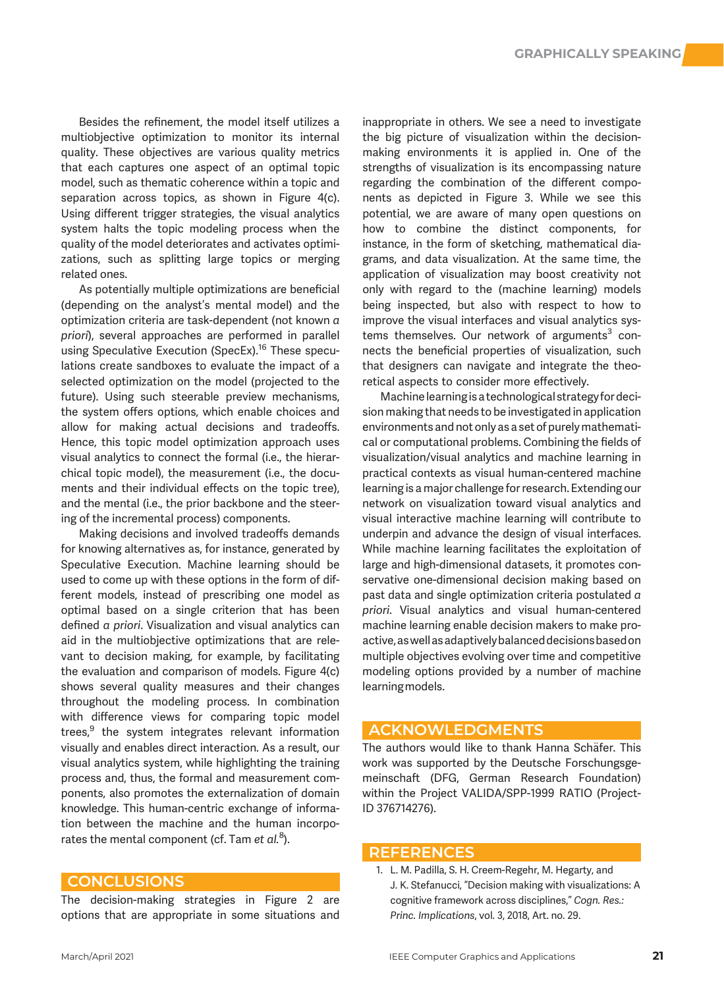Besides the refinement, the model itself utilizes a multiobjective optimization to monitor its internal quality. These objectives are various quality metrics that each captures one aspect of an optimal topic model, such as thematic coherence within a topic and separation across topics, as shown in Figure 4(c). Using different trigger strategies, the visual analytics system halts the topic modeling process when the quality of the model deteriorates and activates optimizations, such as splitting large topics or merging related ones.

As potentially multiple optimizations are beneficial (depending on the analyst's mental model) and the optimization criteria are task-dependent (not known a priori), several approaches are performed in parallel using Speculative Execution (SpecEx).<sup>16</sup> These speculations create sandboxes to evaluate the impact of a selected optimization on the model (projected to the future). Using such steerable preview mechanisms, the system offers options, which enable choices and allow for making actual decisions and tradeoffs. Hence, this topic model optimization approach uses visual analytics to connect the formal (i.e., the hierarchical topic model), the measurement (i.e., the documents and their individual effects on the topic tree), and the mental (i.e., the prior backbone and the steering of the incremental process) components.

Making decisions and involved tradeoffs demands for knowing alternatives as, for instance, generated by Speculative Execution. Machine learning should be used to come up with these options in the form of different models, instead of prescribing one model as optimal based on a single criterion that has been defined a priori. Visualization and visual analytics can aid in the multiobjective optimizations that are relevant to decision making, for example, by facilitating the evaluation and comparison of models. Figure 4(c) shows several quality measures and their changes throughout the modeling process. In combination with difference views for comparing topic model trees, $9$  the system integrates relevant information visually and enables direct interaction. As a result, our visual analytics system, while highlighting the training process and, thus, the formal and measurement components, also promotes the externalization of domain knowledge. This human-centric exchange of information between the machine and the human incorporates the mental component (cf. Tam et  $al$ .<sup>8</sup>).

The decision-making strategies in Figure 2 are options that are appropriate in some situations and inappropriate in others. We see a need to investigate the big picture of visualization within the decisionmaking environments it is applied in. One of the strengths of visualization is its encompassing nature regarding the combination of the different components as depicted in Figure 3. While we see this potential, we are aware of many open questions on how to combine the distinct components, for instance, in the form of sketching, mathematical diagrams, and data visualization. At the same time, the application of visualization may boost creativity not only with regard to the (machine learning) models being inspected, but also with respect to how to improve the visual interfaces and visual analytics systems themselves. Our network of arguments $3$  connects the beneficial properties of visualization, such that designers can navigate and integrate the theoretical aspects to consider more effectively.

Machine learningis a technological strategy for decision making that needs to be investigated in application environments and not only as a set of purelymathematical or computational problems. Combining the fields of visualization/visual analytics and machine learning in practical contexts as visual human-centered machine learning is a major challenge for research. Extending our network on visualization toward visual analytics and visual interactive machine learning will contribute to underpin and advance the design of visual interfaces. While machine learning facilitates the exploitation of large and high-dimensional datasets, it promotes conservative one-dimensional decision making based on past data and single optimization criteria postulated a priori. Visual analytics and visual human-centered machine learning enable decision makers to make proactive,aswellasadaptivelybalanceddecisionsbasedon multiple objectives evolving over time and competitive modeling options provided by a number of machine learningmodels.

### **ACKNOWLEDGMENTS**

The authors would like to thank Hanna Schäfer. This work was supported by the Deutsche Forschungsgemeinschaft (DFG, German Research Foundation) within the Project VALIDA/SPP-1999 RATIO (Project-ID 376714276).

### **REFERENCES**

1. L. M. Padilla, S. H. Creem-Regehr, M. Hegarty, and J. K. Stefanucci, "Decision making with visualizations: A cognitive framework across disciplines," Cogn. Res.: Princ. Implications, vol. 3, 2018, Art. no. 29.